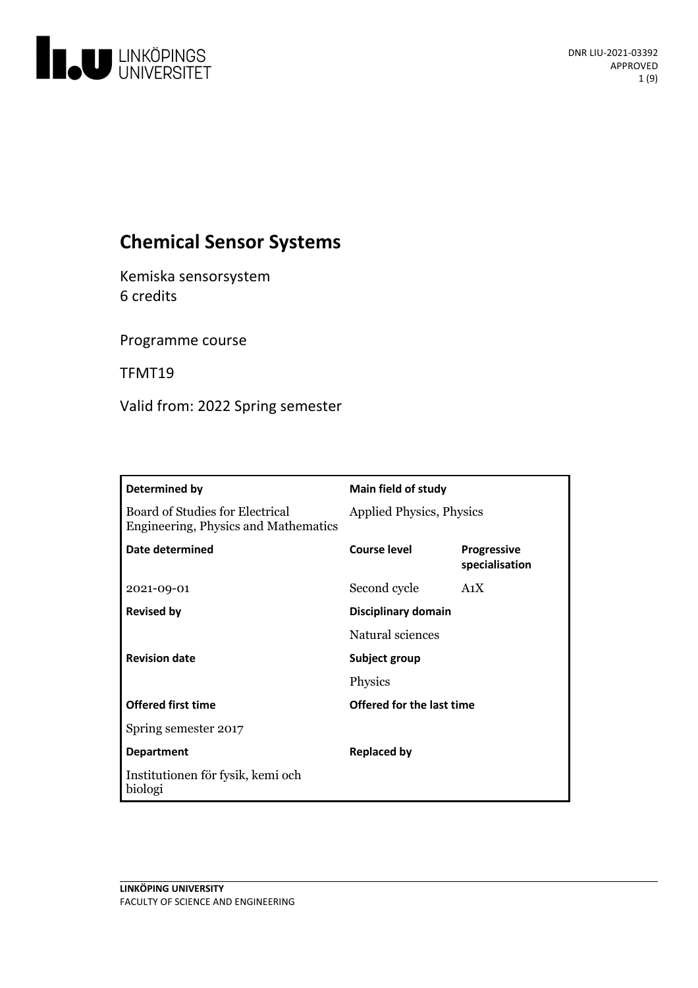

# **Chemical Sensor Systems**

Kemiska sensorsystem 6 credits

Programme course

TFMT19

Valid from: 2022 Spring semester

| Determined by                                                                  | <b>Main field of study</b>      |                                      |
|--------------------------------------------------------------------------------|---------------------------------|--------------------------------------|
| Board of Studies for Electrical<br><b>Engineering, Physics and Mathematics</b> | <b>Applied Physics, Physics</b> |                                      |
| Date determined                                                                | Course level                    | <b>Progressive</b><br>specialisation |
| 2021-09-01                                                                     | Second cycle                    | A <sub>1</sub> X                     |
| <b>Revised by</b>                                                              | Disciplinary domain             |                                      |
|                                                                                | Natural sciences                |                                      |
| <b>Revision date</b>                                                           | Subject group                   |                                      |
|                                                                                | Physics                         |                                      |
| <b>Offered first time</b>                                                      | Offered for the last time       |                                      |
| Spring semester 2017                                                           |                                 |                                      |
| <b>Department</b>                                                              | <b>Replaced by</b>              |                                      |
| Institutionen för fysik, kemi och<br>biologi                                   |                                 |                                      |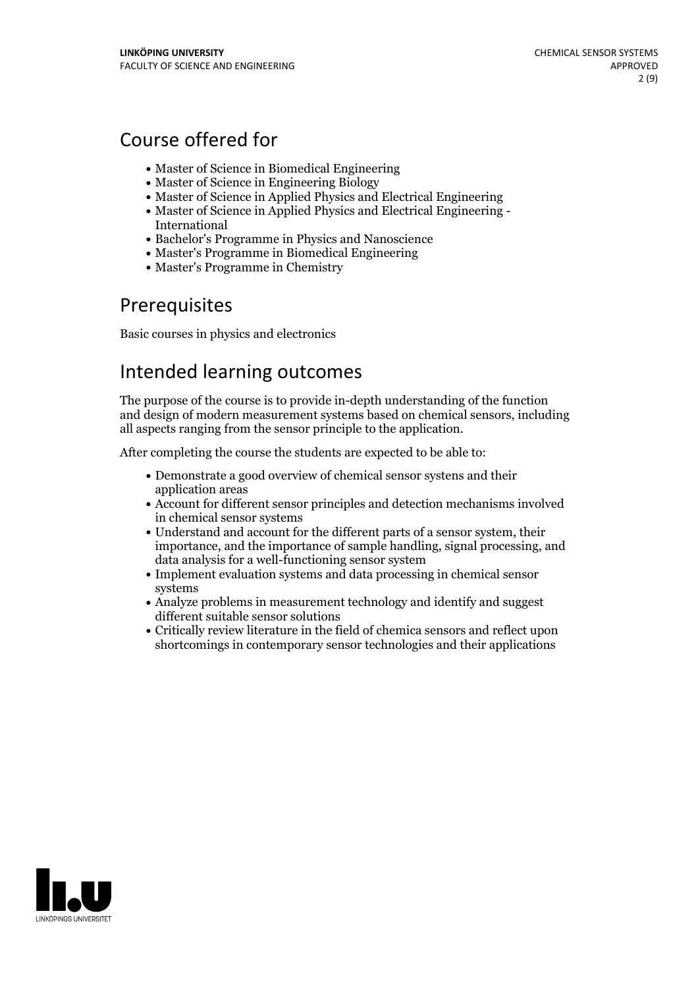# Course offered for

- Master of Science in Biomedical Engineering
- Master of Science in Engineering Biology
- Master of Science in Applied Physics and Electrical Engineering
- Master of Science in Applied Physics and Electrical Engineering International
- Bachelor's Programme in Physics and Nanoscience
- Master's Programme in Biomedical Engineering
- Master's Programme in Chemistry

## Prerequisites

Basic courses in physics and electronics

# Intended learning outcomes

The purpose of the course is to provide in-depth understanding of the function and design of modern measurement systems based on chemical sensors, including all aspects ranging from the sensor principle to the application.

After completing the course the students are expected to be able to:

- Demonstrate a good overview of chemical sensor systens and their application areas
- Account for different sensor principles and detection mechanisms involved in chemical sensor systems
- Understand and account for the different parts of a sensor system, their importance, and the importance of sample handling, signal processing, and data analysis for a well-functioning sensor system
- Implement evaluation systems and data processing in chemical sensor systems
- Analyze problems in measurement technology and identify and suggest different suitable sensor solutions
- Critically review literature in the field of chemica sensors and reflect upon shortcomings in contemporary sensor technologies and their applications

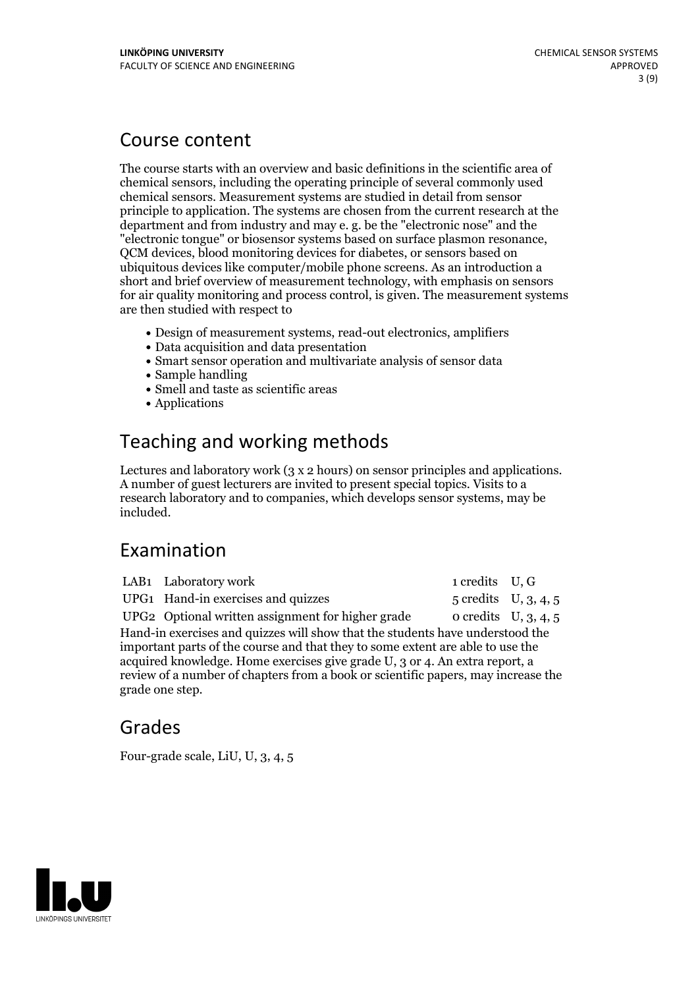## Course content

The course starts with an overview and basic definitions in the scientific area of chemical sensors, including the operating principle of several commonly used chemical sensors. Measurement systems are studied in detail from sensor principle to application. The systems are chosen from the current research at the department and from industry and may e. g. be the "electronic nose" and the "electronic tongue" or biosensor systems based on surface plasmon resonance, QCM devices, blood monitoring devices for diabetes, or sensors based on ubiquitous devices like computer/mobile phone screens. As an introduction a short and brief overview of measurement technology, with emphasis on sensors for air quality monitoring and process control, is given. The measurement systems are then studied with respect to

- Design of measurement systems, read-out electronics, amplifiers
- Data acquisition and data presentation
- Smart sensor operation and multivariate analysis of sensor data
- Sample handling
- Smell and taste as scientific areas
- Applications

# Teaching and working methods

Lectures and laboratory work (3 <sup>x</sup> <sup>2</sup> hours) on sensor principles and applications. <sup>A</sup> number of guest lecturers are invited to present special topics. Visits to <sup>a</sup> research laboratory and to companies, which develops sensor systems, may be included.

## Examination

|                                                                                                                                                                                                                                                                                                                                                        | LAB1 Laboratory work                              | 1 credits U, G                   |  |  |
|--------------------------------------------------------------------------------------------------------------------------------------------------------------------------------------------------------------------------------------------------------------------------------------------------------------------------------------------------------|---------------------------------------------------|----------------------------------|--|--|
|                                                                                                                                                                                                                                                                                                                                                        | UPG1 Hand-in exercises and quizzes                | $5 \text{ credits}$ U, $3, 4, 5$ |  |  |
|                                                                                                                                                                                                                                                                                                                                                        | UPG2 Optional written assignment for higher grade | o credits $U, 3, 4, 5$           |  |  |
| Hand-in exercises and quizzes will show that the students have understood the<br>important parts of the course and that they to some extent are able to use the<br>acquired knowledge. Home exercises give grade U, 3 or 4. An extra report, a<br>review of a number of chapters from a book or scientific papers, may increase the<br>grade one step. |                                                   |                                  |  |  |

## Grades

Four-grade scale, LiU, U, 3, 4, 5

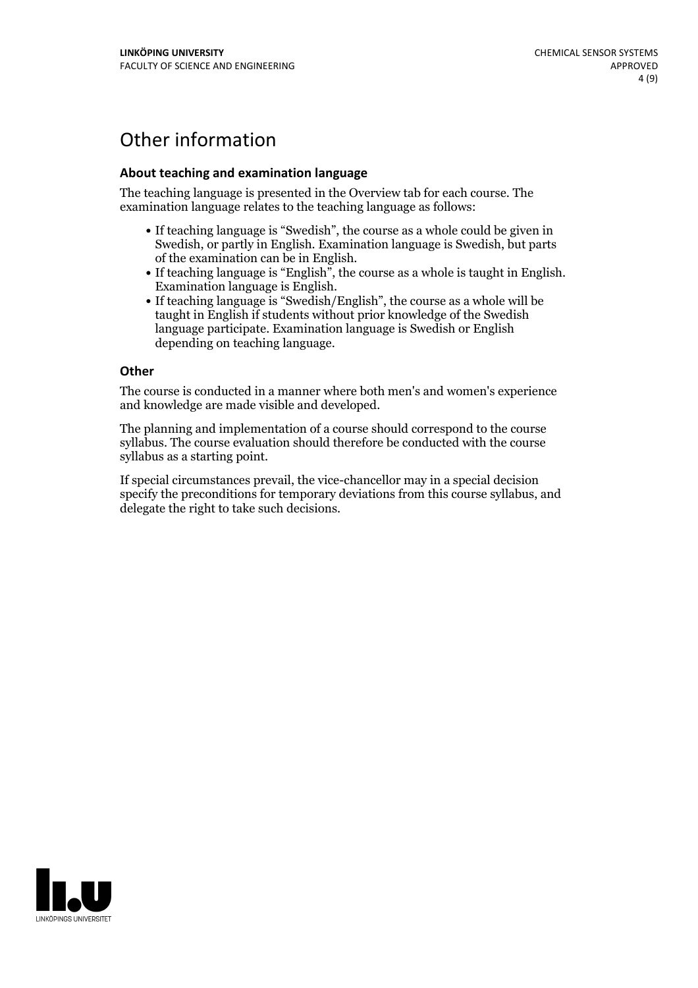# Other information

## **About teaching and examination language**

The teaching language is presented in the Overview tab for each course. The examination language relates to the teaching language as follows:

- If teaching language is "Swedish", the course as a whole could be given in Swedish, or partly in English. Examination language is Swedish, but parts
- of the examination can be in English. If teaching language is "English", the course as <sup>a</sup> whole is taught in English. Examination language is English. If teaching language is "Swedish/English", the course as <sup>a</sup> whole will be
- taught in English if students without prior knowledge of the Swedish language participate. Examination language is Swedish or English depending on teaching language.

#### **Other**

The course is conducted in a manner where both men's and women's experience and knowledge are made visible and developed.

The planning and implementation of a course should correspond to the course syllabus. The course evaluation should therefore be conducted with the course syllabus as a starting point.

If special circumstances prevail, the vice-chancellor may in a special decision specify the preconditions for temporary deviations from this course syllabus, and delegate the right to take such decisions.

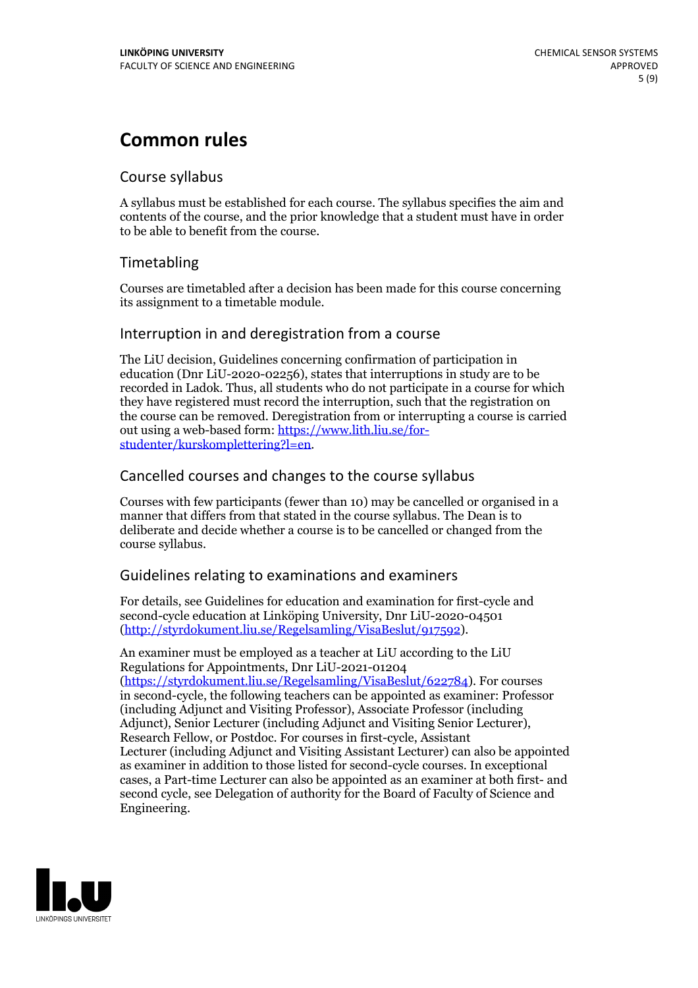# **Common rules**

## Course syllabus

A syllabus must be established for each course. The syllabus specifies the aim and contents of the course, and the prior knowledge that a student must have in order to be able to benefit from the course.

## Timetabling

Courses are timetabled after a decision has been made for this course concerning its assignment to a timetable module.

## Interruption in and deregistration from a course

The LiU decision, Guidelines concerning confirmation of participation in education (Dnr LiU-2020-02256), states that interruptions in study are to be recorded in Ladok. Thus, all students who do not participate in a course for which they have registered must record the interruption, such that the registration on the course can be removed. Deregistration from or interrupting a course is carried out using <sup>a</sup> web-based form: https://www.lith.liu.se/for- [studenter/kurskomplettering?l=en.](https://www.lith.liu.se/for-studenter/kurskomplettering?l=en)

## Cancelled courses and changes to the course syllabus

Courses with few participants (fewer than 10) may be cancelled or organised in a manner that differs from that stated in the course syllabus. The Dean is to deliberate and decide whether a course is to be cancelled or changed from the course syllabus.

## Guidelines relating to examinations and examiners

For details, see Guidelines for education and examination for first-cycle and second-cycle education at Linköping University, Dnr LiU-2020-04501 [\(http://styrdokument.liu.se/Regelsamling/VisaBeslut/917592\)](http://styrdokument.liu.se/Regelsamling/VisaBeslut/917592).

An examiner must be employed as a teacher at LiU according to the LiU Regulations for Appointments, Dnr LiU-2021-01204 [\(https://styrdokument.liu.se/Regelsamling/VisaBeslut/622784](https://styrdokument.liu.se/Regelsamling/VisaBeslut/622784)). For courses in second-cycle, the following teachers can be appointed as examiner: Professor (including Adjunct and Visiting Professor), Associate Professor (including Adjunct), Senior Lecturer (including Adjunct and Visiting Senior Lecturer), Research Fellow, or Postdoc. For courses in first-cycle, Assistant Lecturer (including Adjunct and Visiting Assistant Lecturer) can also be appointed as examiner in addition to those listed for second-cycle courses. In exceptional cases, a Part-time Lecturer can also be appointed as an examiner at both first- and second cycle, see Delegation of authority for the Board of Faculty of Science and Engineering.

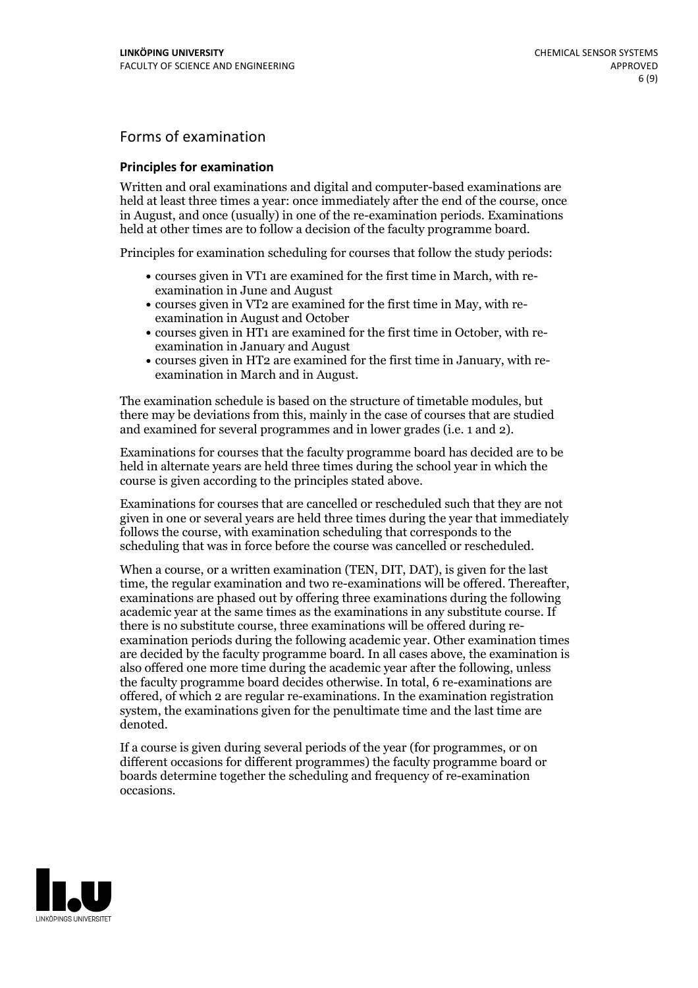## Forms of examination

#### **Principles for examination**

Written and oral examinations and digital and computer-based examinations are held at least three times a year: once immediately after the end of the course, once in August, and once (usually) in one of the re-examination periods. Examinations held at other times are to follow a decision of the faculty programme board.

Principles for examination scheduling for courses that follow the study periods:

- courses given in VT1 are examined for the first time in March, with re-examination in June and August
- courses given in VT2 are examined for the first time in May, with re-examination in August and October
- courses given in HT1 are examined for the first time in October, with re-examination in January and August
- courses given in HT2 are examined for the first time in January, with re-examination in March and in August.

The examination schedule is based on the structure of timetable modules, but there may be deviations from this, mainly in the case of courses that are studied and examined for several programmes and in lower grades (i.e. 1 and 2).

Examinations for courses that the faculty programme board has decided are to be held in alternate years are held three times during the school year in which the course is given according to the principles stated above.

Examinations for courses that are cancelled orrescheduled such that they are not given in one or several years are held three times during the year that immediately follows the course, with examination scheduling that corresponds to the scheduling that was in force before the course was cancelled or rescheduled.

When a course, or a written examination (TEN, DIT, DAT), is given for the last time, the regular examination and two re-examinations will be offered. Thereafter, examinations are phased out by offering three examinations during the following academic year at the same times as the examinations in any substitute course. If there is no substitute course, three examinations will be offered during re- examination periods during the following academic year. Other examination times are decided by the faculty programme board. In all cases above, the examination is also offered one more time during the academic year after the following, unless the faculty programme board decides otherwise. In total, 6 re-examinations are offered, of which 2 are regular re-examinations. In the examination registration system, the examinations given for the penultimate time and the last time are denoted.

If a course is given during several periods of the year (for programmes, or on different occasions for different programmes) the faculty programme board or boards determine together the scheduling and frequency of re-examination occasions.

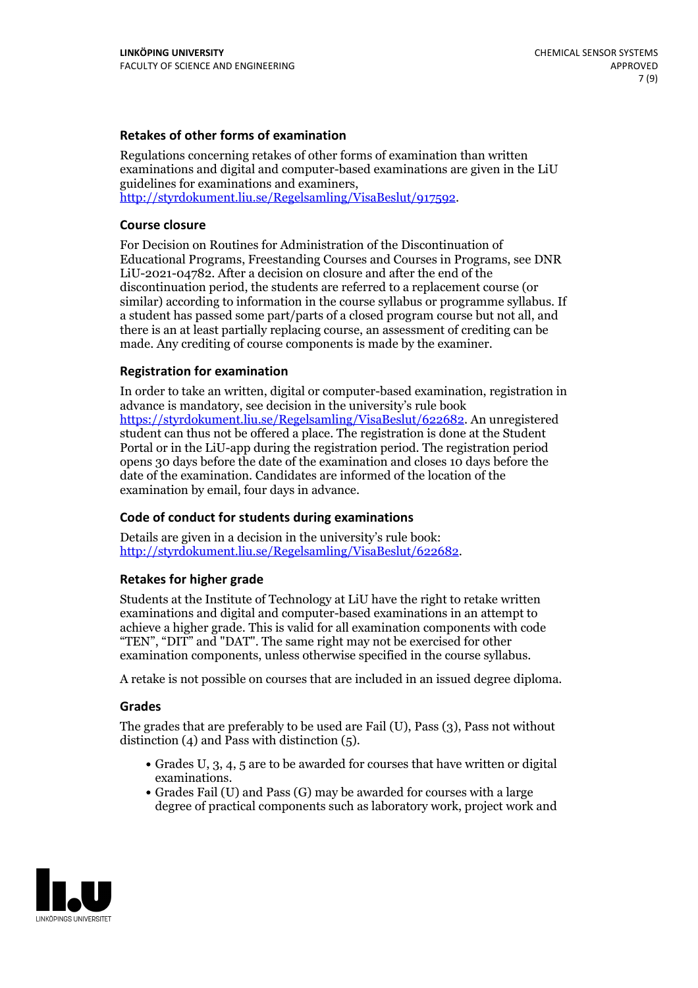### **Retakes of other forms of examination**

Regulations concerning retakes of other forms of examination than written examinations and digital and computer-based examinations are given in the LiU guidelines for examinations and examiners, [http://styrdokument.liu.se/Regelsamling/VisaBeslut/917592.](http://styrdokument.liu.se/Regelsamling/VisaBeslut/917592)

#### **Course closure**

For Decision on Routines for Administration of the Discontinuation of Educational Programs, Freestanding Courses and Courses in Programs, see DNR LiU-2021-04782. After a decision on closure and after the end of the discontinuation period, the students are referred to a replacement course (or similar) according to information in the course syllabus or programme syllabus. If a student has passed some part/parts of a closed program course but not all, and there is an at least partially replacing course, an assessment of crediting can be made. Any crediting of course components is made by the examiner.

### **Registration for examination**

In order to take an written, digital or computer-based examination, registration in advance is mandatory, see decision in the university's rule book [https://styrdokument.liu.se/Regelsamling/VisaBeslut/622682.](https://styrdokument.liu.se/Regelsamling/VisaBeslut/622682) An unregistered student can thus not be offered a place. The registration is done at the Student Portal or in the LiU-app during the registration period. The registration period opens 30 days before the date of the examination and closes 10 days before the date of the examination. Candidates are informed of the location of the examination by email, four days in advance.

## **Code of conduct for students during examinations**

Details are given in a decision in the university's rule book: <http://styrdokument.liu.se/Regelsamling/VisaBeslut/622682>.

#### **Retakes for higher grade**

Students at the Institute of Technology at LiU have the right to retake written examinations and digital and computer-based examinations in an attempt to achieve a higher grade. This is valid for all examination components with code "TEN", "DIT" and "DAT". The same right may not be exercised for other examination components, unless otherwise specified in the course syllabus.

A retake is not possible on courses that are included in an issued degree diploma.

#### **Grades**

The grades that are preferably to be used are Fail (U), Pass (3), Pass not without distinction  $(4)$  and Pass with distinction  $(5)$ .

- Grades U, 3, 4, 5 are to be awarded for courses that have written or digital examinations.<br>• Grades Fail (U) and Pass (G) may be awarded for courses with a large
- degree of practical components such as laboratory work, project work and

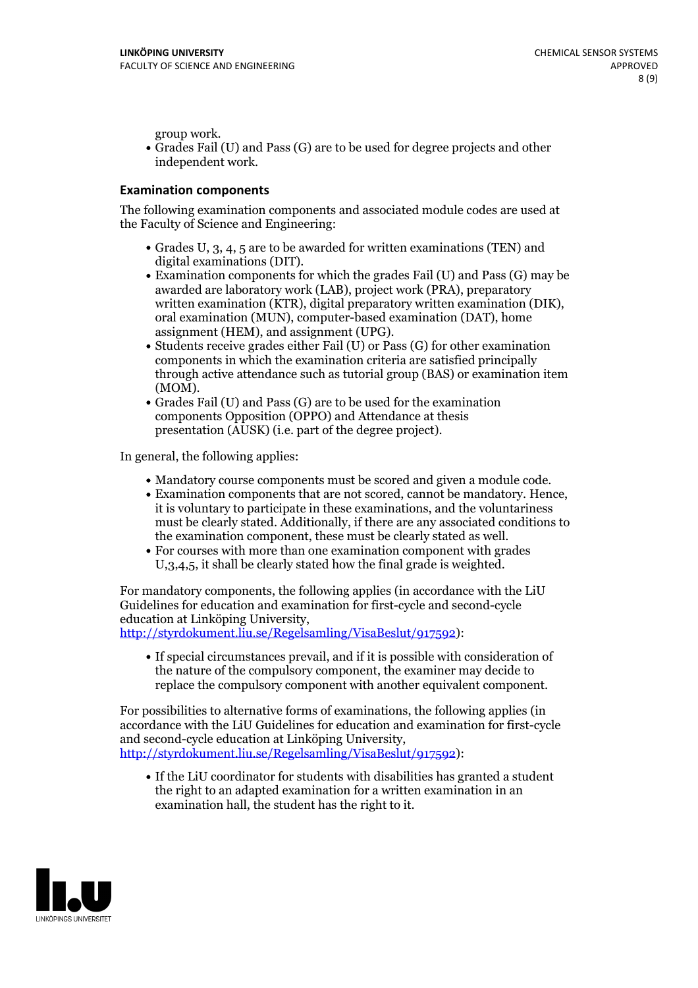group work.<br>• Grades Fail (U) and Pass (G) are to be used for degree projects and other independent work.

### **Examination components**

The following examination components and associated module codes are used at the Faculty of Science and Engineering:

- Grades U, 3, 4, 5 are to be awarded for written examinations (TEN) and
- digital examinations (DIT).<br>• Examination components for which the grades Fail (U) and Pass (G) may be awarded are laboratory work (LAB), project work (PRA), preparatory written examination (KTR), digital preparatory written examination (DIK), oral examination (MUN), computer-based examination (DAT), home
- assignment (HEM), and assignment (UPG).<br>• Students receive grades either Fail (U) or Pass (G) for other examination components in which the examination criteria are satisfied principally through active attendance such as tutorial group (BAS) or examination item
- (MOM).<br>• Grades Fail (U) and Pass (G) are to be used for the examination components Opposition (OPPO) and Attendance at thesis presentation (AUSK) (i.e. part of the degree project).

In general, the following applies:

- 
- Mandatory course components must be scored and given <sup>a</sup> module code. Examination components that are not scored, cannot be mandatory. Hence, it is voluntary to participate in these examinations, and the voluntariness must be clearly stated. Additionally, if there are any associated conditions to
- the examination component, these must be clearly stated as well.<br>• For courses with more than one examination component with grades U,3,4,5, it shall be clearly stated how the final grade is weighted.

For mandatory components, the following applies (in accordance with the LiU Guidelines for education and examination for first-cycle and second-cycle education at Linköping University,<br>[http://styrdokument.liu.se/Regelsamling/VisaBeslut/917592\)](http://styrdokument.liu.se/Regelsamling/VisaBeslut/917592):

If special circumstances prevail, and if it is possible with consideration of the nature of the compulsory component, the examiner may decide to replace the compulsory component with another equivalent component.

For possibilities to alternative forms of examinations, the following applies (in accordance with the LiU Guidelines for education and examination for first-cycle [http://styrdokument.liu.se/Regelsamling/VisaBeslut/917592\)](http://styrdokument.liu.se/Regelsamling/VisaBeslut/917592):

If the LiU coordinator for students with disabilities has granted a student the right to an adapted examination for a written examination in an examination hall, the student has the right to it.